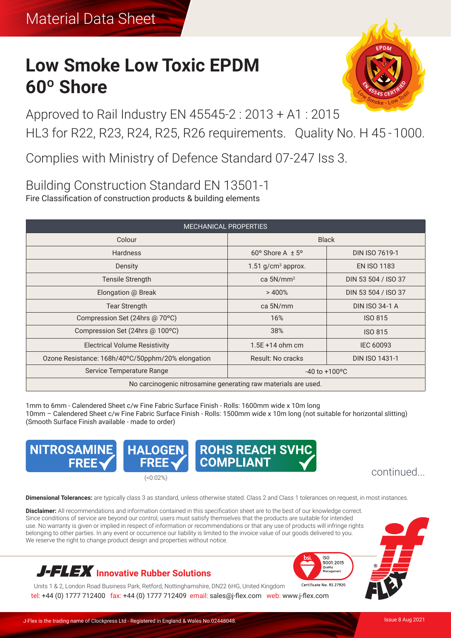# **Low Smoke Low Toxic EPDM 60º Shore**



Approved to Rail Industry EN 45545-2 : 2013 + A1 : 2015 HL3 for R22, R23, R24, R25, R26 requirements. Quality No. H 45 - 1000.

Complies with Ministry of Defence Standard 07-247 Iss 3.

# Building Construction Standard EN 13501-1 Fire Classification of construction products & building elements

| <b>MECHANICAL PROPERTIES</b>                                   |                                  |                       |  |  |  |
|----------------------------------------------------------------|----------------------------------|-----------------------|--|--|--|
| Colour                                                         | <b>Black</b>                     |                       |  |  |  |
| <b>Hardness</b>                                                | $60^{\circ}$ Shore A $\pm$ 5°    | <b>DIN ISO 7619-1</b> |  |  |  |
| Density                                                        | $1.51$ g/cm <sup>3</sup> approx. | <b>EN ISO 1183</b>    |  |  |  |
| Tensile Strength                                               | ca $5N/mm^2$                     | DIN 53 504 / ISO 37   |  |  |  |
| Elongation @ Break                                             | >400%                            | DIN 53 504 / ISO 37   |  |  |  |
| <b>Tear Strength</b>                                           | ca 5N/mm                         | <b>DIN ISO 34-1 A</b> |  |  |  |
| Compression Set (24hrs @ 70°C)                                 | 16%                              | <b>ISO 815</b>        |  |  |  |
| Compression Set (24hrs @ 100°C)                                | 38%                              | <b>ISO 815</b>        |  |  |  |
| <b>Electrical Volume Resistivity</b>                           | $1.5E + 14$ ohm cm               | <b>IEC 60093</b>      |  |  |  |
| Ozone Resistance: 168h/40°C/50pphm/20% elongation              | Result: No cracks                | <b>DIN ISO 1431-1</b> |  |  |  |
| Service Temperature Range                                      | $-40$ to $+100$ <sup>o</sup> C   |                       |  |  |  |
| No carcinogenic nitrosamine generating raw materials are used. |                                  |                       |  |  |  |

1mm to 6mm - Calendered Sheet c/w Fine Fabric Surface Finish - Rolls: 1600mm wide x 10m long 10mm – Calendered Sheet c/w Fine Fabric Surface Finish - Rolls: 1500mm wide x 10m long (not suitable for horizontal slitting) (Smooth Surface Finish available - made to order)



**Dimensional Tolerances:** are typically class 3 as standard, unless otherwise stated. Class 2 and Class 1 tolerances on request, in most instances.

**Disclaimer:** All recommendations and information contained in this specification sheet are to the best of our knowledge correct. Since conditions of service are beyond our control, users must satisfy themselves that the products are suitable for intended use. No warranty is given or implied in respect of information or recommendations or that any use of products will infringe rights belonging to other parties. In any event or occurrence our liability is limited to the invoice value of our goods delivered to you. We reserve the right to change product design and properties without notice.



Units 1 & 2, London Road Business Park, Retford, Nottinghamshire, DN22 6HG, United Kingdom Certificate No. RS 27920 tel: +44 (0) 1777 712400 fax: +44 (0) 1777 712409 email: sales@j-flex.com web: www.j-flex.com